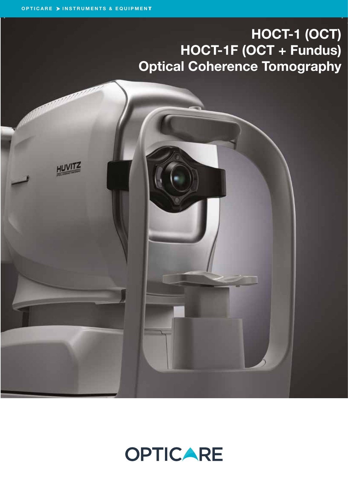# HOCT-1 (OCT) HOCT-1F (OCT + Fundus) Optical Coherence Tomography